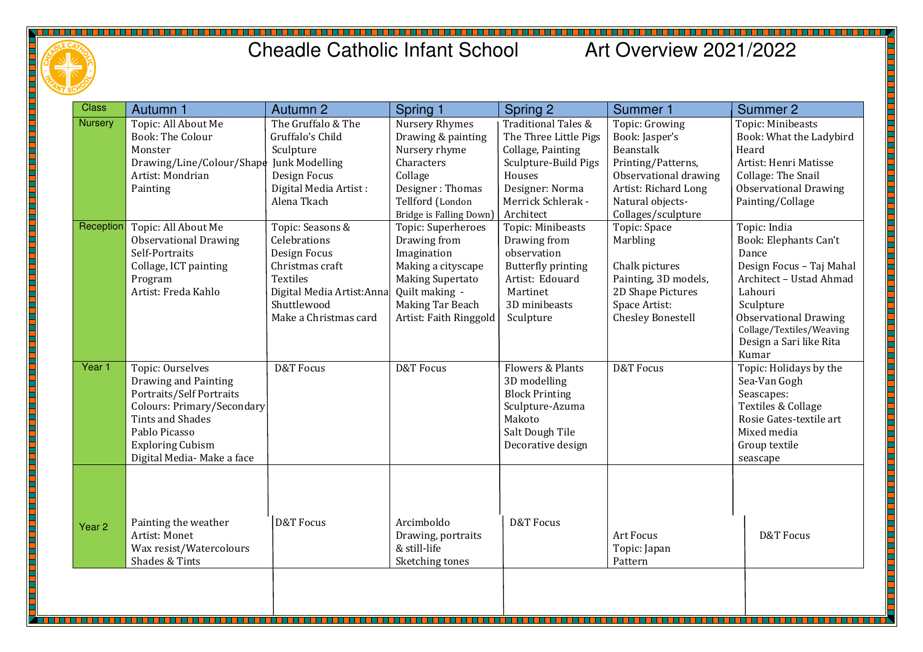

## Cheadle Catholic Infant School Art Overview 2021/2022

| <b>Class</b>      | Autumn 1                                                         | Autumn 2                   | Spring 1                                         | Spring 2              | <b>Summer 1</b>                  | <b>Summer 2</b>              |
|-------------------|------------------------------------------------------------------|----------------------------|--------------------------------------------------|-----------------------|----------------------------------|------------------------------|
| <b>Nursery</b>    | Topic: All About Me                                              | The Gruffalo & The         | Nursery Rhymes                                   | Traditional Tales &   | Topic: Growing                   | Topic: Minibeasts            |
|                   | <b>Book: The Colour</b>                                          | Gruffalo's Child           | Drawing & painting                               | The Three Little Pigs | Book: Jasper's                   | Book: What the Ladybird      |
|                   | Monster                                                          | Sculpture                  | Nursery rhyme                                    | Collage, Painting     | Beanstalk                        | Heard                        |
|                   | Drawing/Line/Colour/Shape                                        | Junk Modelling             | Characters                                       | Sculpture-Build Pigs  | Printing/Patterns,               | Artist: Henri Matisse        |
|                   | Artist: Mondrian                                                 | Design Focus               | Collage                                          | Houses                | Observational drawing            | Collage: The Snail           |
|                   | Painting                                                         | Digital Media Artist:      | Designer: Thomas                                 | Designer: Norma       | Artist: Richard Long             | <b>Observational Drawing</b> |
|                   |                                                                  | Alena Tkach                | Tellford (London                                 | Merrick Schlerak -    | Natural objects-                 | Painting/Collage             |
|                   |                                                                  |                            | Bridge is Falling Down)                          | Architect             | Collages/sculpture               |                              |
| Reception         | Topic: All About Me                                              | Topic: Seasons &           | Topic: Superheroes                               | Topic: Minibeasts     | Topic: Space                     | Topic: India                 |
|                   | <b>Observational Drawing</b>                                     | Celebrations               | Drawing from                                     | Drawing from          | Marbling                         | Book: Elephants Can't        |
|                   | Self-Portraits                                                   | Design Focus               | Imagination                                      | observation           |                                  | Dance                        |
|                   | Collage, ICT painting                                            | Christmas craft            | Making a cityscape                               | Butterfly printing    | Chalk pictures                   | Design Focus - Taj Mahal     |
|                   | Program                                                          | Textiles                   | <b>Making Supertato</b>                          | Artist: Edouard       | Painting, 3D models,             | Architect - Ustad Ahmad      |
|                   | Artist: Freda Kahlo                                              | Digital Media Artist: Anna | Quilt making -                                   | Martinet              | 2D Shape Pictures                | Lahouri                      |
|                   |                                                                  | Shuttlewood                | Making Tar Beach                                 | 3D minibeasts         | Space Artist:                    | Sculpture                    |
|                   |                                                                  | Make a Christmas card      | Artist: Faith Ringgold                           | Sculpture             | <b>Chesley Bonestell</b>         | <b>Observational Drawing</b> |
|                   |                                                                  |                            |                                                  |                       |                                  | Collage/Textiles/Weaving     |
|                   |                                                                  |                            |                                                  |                       |                                  | Design a Sari like Rita      |
|                   |                                                                  |                            |                                                  |                       |                                  | Kumar                        |
| Year 1            | Topic: Ourselves                                                 | <b>D&amp;T</b> Focus       | D&T Focus                                        | Flowers & Plants      | <b>D&amp;T</b> Focus             | Topic: Holidays by the       |
|                   | Drawing and Painting                                             |                            |                                                  | 3D modelling          |                                  | Sea-Van Gogh                 |
|                   | Portraits/Self Portraits                                         |                            |                                                  | <b>Block Printing</b> |                                  | Seascapes:                   |
|                   | Colours: Primary/Secondary                                       |                            |                                                  | Sculpture-Azuma       |                                  | Textiles & Collage           |
|                   | Tints and Shades                                                 |                            |                                                  | Makoto                |                                  | Rosie Gates-textile art      |
|                   | Pablo Picasso                                                    |                            |                                                  | Salt Dough Tile       |                                  | Mixed media                  |
|                   | <b>Exploring Cubism</b>                                          |                            |                                                  | Decorative design     |                                  | Group textile                |
|                   | Digital Media- Make a face                                       |                            |                                                  |                       |                                  | seascape                     |
| Year <sub>2</sub> | Painting the weather<br>Artist: Monet<br>Wax resist/Watercolours | <b>D&amp;T</b> Focus       | Arcimboldo<br>Drawing, portraits<br>& still-life | <b>D&amp;T Focus</b>  | <b>Art Focus</b><br>Topic: Japan | <b>D&amp;T Focus</b>         |